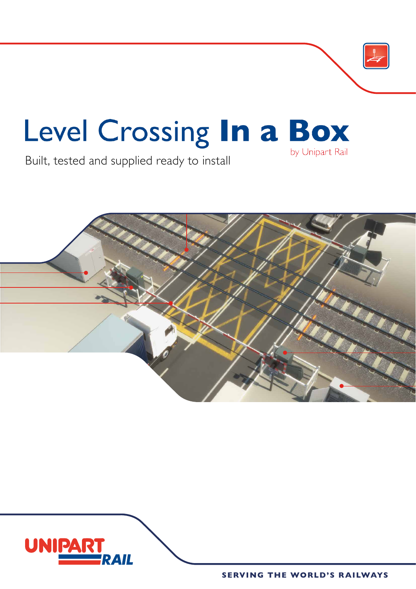

# Level Crossing In a Box by Unipart Rail

Built, tested and supplied ready to install



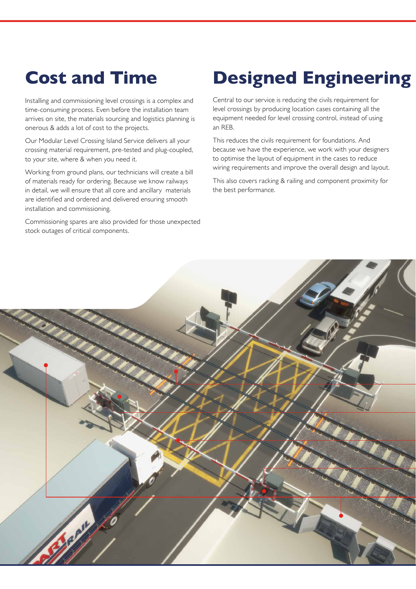## **Cost and Time**

Installing and commissioning level crossings is a complex and time-consuming process. Even before the installation team arrives on site, the materials sourcing and logistics planning is onerous & adds a lot of cost to the projects.

Our Modular Level Crossing Island Service delivers all your crossing material requirement, pre-tested and plug-coupled, to your site, where & when you need it.

Working from ground plans, our technicians will create a bill of materials ready for ordering. Because we know railways in detail, we will ensure that all core and ancillary materials are identified and ordered and delivered ensuring smooth installation and commissioning.

Commissioning spares are also provided for those unexpected stock outages of critical components.

## **Designed Engineering**

Central to our service is reducing the civils requirement for level crossings by producing location cases containing all the equipment needed for level crossing control, instead of using an REB.

This reduces the civils requirement for foundations. And because we have the experience, we work with your designers to optimise the layout of equipment in the cases to reduce wiring requirements and improve the overall design and layout.

This also covers racking & railing and component proximity for the best performance.

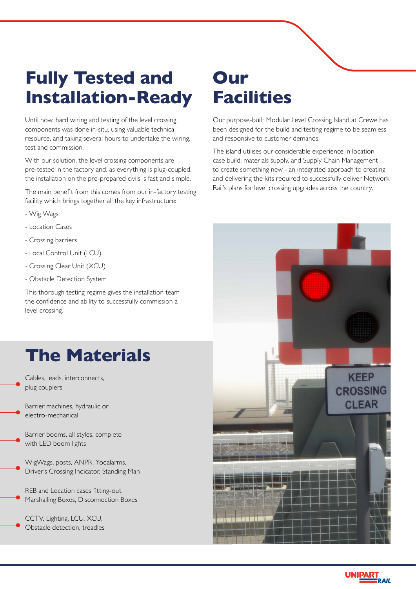# **Fully Tested and Installation-Ready**

Until now, hard wiring and testing of the level crossing components was done in-situ, using valuable technical resource, and taking several hours to undertake the wiring, test and commission.

With our solution, the level crossing components are pre-tested in the factory and, as everything is plug-coupled, the installation on the pre-prepared civils is fast and simple.

The main benefit from this comes from our in-factory testing facility which brings together all the key infrastructure:

- Wig Wags
- Location Cases
- Crossing barriers
- Local Control Unit (LCU)
- Crossing Clear Unit (XCU)
- Obstacle Detection System

This thorough testing regime gives the installation team the confidence and ability to successfully commission a level crossing.

### **The Materials**

Cables, leads, interconnects, plug couplers

Barrier machines, hydraulic or electro-mechanical

Barrier booms, all styles, complete with LED boom lights

WigWags, posts, ANPR, Yodalarms, Driver's Crossing Indicator, Standing Man

REB and Location cases fitting-out, Marshalling Boxes, Disconnection Boxes

CCTV, Lighting, LCU, XCU, Obstacle detection, treadles

#### **Our Facilities**

Our purpose-built Modular Level Crossing Island at Crewe has been designed for the build and testing regime to be seamless and responsive to customer demands.

The island utilises our considerable experience in location case build, materials supply, and Supply Chain Management to create something new - an integrated approach to creating and delivering the kits required to successfully deliver Network Rail's plans for level crossing upgrades across the country.